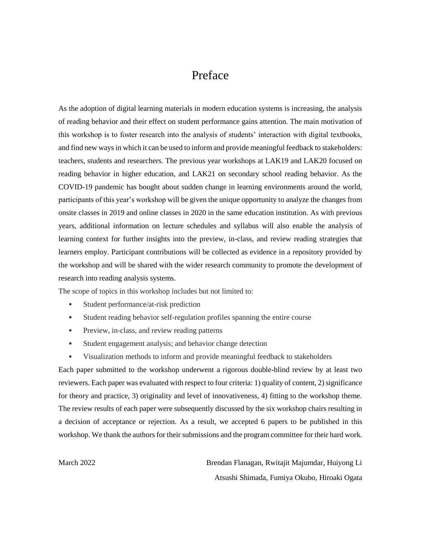## Preface

As the adoption of digital learning materials in modern education systems is increasing, the analysis of reading behavior and their effect on student performance gains attention. The main motivation of this workshop is to foster research into the analysis of students' interaction with digital textbooks, and find new ways in which it can be used to inform and provide meaningful feedback to stakeholders: teachers, students and researchers. The previous year workshops at LAK19 and LAK20 focused on reading behavior in higher education, and LAK21 on secondary school reading behavior. As the COVID-19 pandemic has bought about sudden change in learning environments around the world, participants of this year's workshop will be given the unique opportunity to analyze the changes from onsite classes in 2019 and online classes in 2020 in the same education institution. As with previous years, additional information on lecture schedules and syllabus will also enable the analysis of learning context for further insights into the preview, in-class, and review reading strategies that learners employ. Participant contributions will be collected as evidence in a repository provided by the workshop and will be shared with the wider research community to promote the development of research into reading analysis systems.

The scope of topics in this workshop includes but not limited to:

- **Student performance/at-risk prediction**
- Student reading behavior self-regulation profiles spanning the entire course
- **Preview, in-class, and review reading patterns**
- Student engagement analysis; and behavior change detection
- Visualization methods to inform and provide meaningful feedback to stakeholders

Each paper submitted to the workshop underwent a rigorous double-blind review by at least two reviewers. Each paper was evaluated with respect to four criteria: 1) quality of content, 2) significance for theory and practice, 3) originality and level of innovativeness, 4) fitting to the workshop theme. The review results of each paper were subsequently discussed by the six workshop chairs resulting in a decision of acceptance or rejection. As a result, we accepted 6 papers to be published in this workshop. We thank the authors for their submissions and the program committee for their hard work.

March 2022 Brendan Flanagan, Rwitajit Majumdar, Huiyong Li Atsushi Shimada, Fumiya Okubo, Hiroaki Ogata